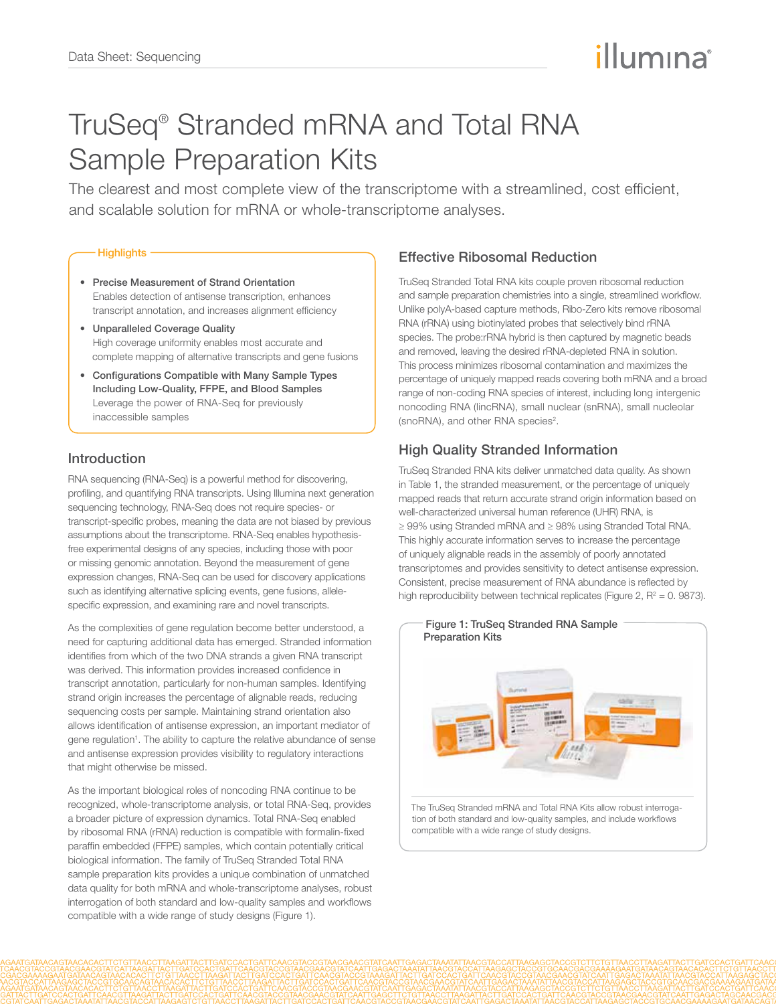# illumına

# TruSeq® Stranded mRNA and Total RNA Sample Preparation Kits

The clearest and most complete view of the transcriptome with a streamlined, cost efficient, and scalable solution for mRNA or whole-transcriptome analyses.

### **Highlights -**

- • Precise Measurement of Strand Orientation Enables detection of antisense transcription, enhances transcript annotation, and increases alignment efficiency
- • Unparalleled Coverage Quality High coverage uniformity enables most accurate and complete mapping of alternative transcripts and gene fusions
- • Configurations Compatible with Many Sample Types Including Low-Quality, FFPE, and Blood Samples Leverage the power of RNA-Seq for previously inaccessible samples

## Introduction

RNA sequencing (RNA-Seq) is a powerful method for discovering, profiling, and quantifying RNA transcripts. Using Illumina next generation sequencing technology, RNA-Seq does not require species- or transcript-specific probes, meaning the data are not biased by previous assumptions about the transcriptome. RNA-Seq enables hypothesisfree experimental designs of any species, including those with poor or missing genomic annotation. Beyond the measurement of gene expression changes, RNA-Seq can be used for discovery applications such as identifying alternative splicing events, gene fusions, allelespecific expression, and examining rare and novel transcripts.

As the complexities of gene regulation become better understood, a need for capturing additional data has emerged. Stranded information identifies from which of the two DNA strands a given RNA transcript was derived. This information provides increased confidence in transcript annotation, particularly for non-human samples. Identifying strand origin increases the percentage of alignable reads, reducing sequencing costs per sample. Maintaining strand orientation also allows identification of antisense expression, an important mediator of gene regulation<sup>1</sup>. The ability to capture the relative abundance of sense and antisense expression provides visibility to regulatory interactions that might otherwise be missed.

As the important biological roles of noncoding RNA continue to be recognized, whole-transcriptome analysis, or total RNA-Seq, provides a broader picture of expression dynamics. Total RNA-Seq enabled by ribosomal RNA (rRNA) reduction is compatible with formalin-fixed paraffin embedded (FFPE) samples, which contain potentially critical biological information. The family of TruSeq Stranded Total RNA sample preparation kits provides a unique combination of unmatched data quality for both mRNA and whole-transcriptome analyses, robust interrogation of both standard and low-quality samples and workflows compatible with a wide range of study designs (Figure 1).

# Effective Ribosomal Reduction

TruSeq Stranded Total RNA kits couple proven ribosomal reduction and sample preparation chemistries into a single, streamlined workflow. Unlike polyA-based capture methods, Ribo-Zero kits remove ribosomal RNA (rRNA) using biotinylated probes that selectively bind rRNA species. The probe:rRNA hybrid is then captured by magnetic beads and removed, leaving the desired rRNA-depleted RNA in solution. This process minimizes ribosomal contamination and maximizes the percentage of uniquely mapped reads covering both mRNA and a broad range of non-coding RNA species of interest, including long intergenic noncoding RNA (lincRNA), small nuclear (snRNA), small nucleolar (snoRNA), and other RNA species<sup>2</sup>.

# High Quality Stranded Information

TruSeq Stranded RNA kits deliver unmatched data quality. As shown in Table 1, the stranded measurement, or the percentage of uniquely mapped reads that return accurate strand origin information based on well-characterized universal human reference (UHR) RNA, is ≥ 99% using Stranded mRNA and ≥ 98% using Stranded Total RNA. This highly accurate information serves to increase the percentage of uniquely alignable reads in the assembly of poorly annotated transcriptomes and provides sensitivity to detect antisense expression. Consistent, precise measurement of RNA abundance is reflected by high reproducibility between technical replicates (Figure 2,  $R^2 = 0$ . 9873).



The TruSeq Stranded mRNA and Total RNA Kits allow robust interrogation of both standard and low-quality samples, and include workflows compatible with a wide range of study designs.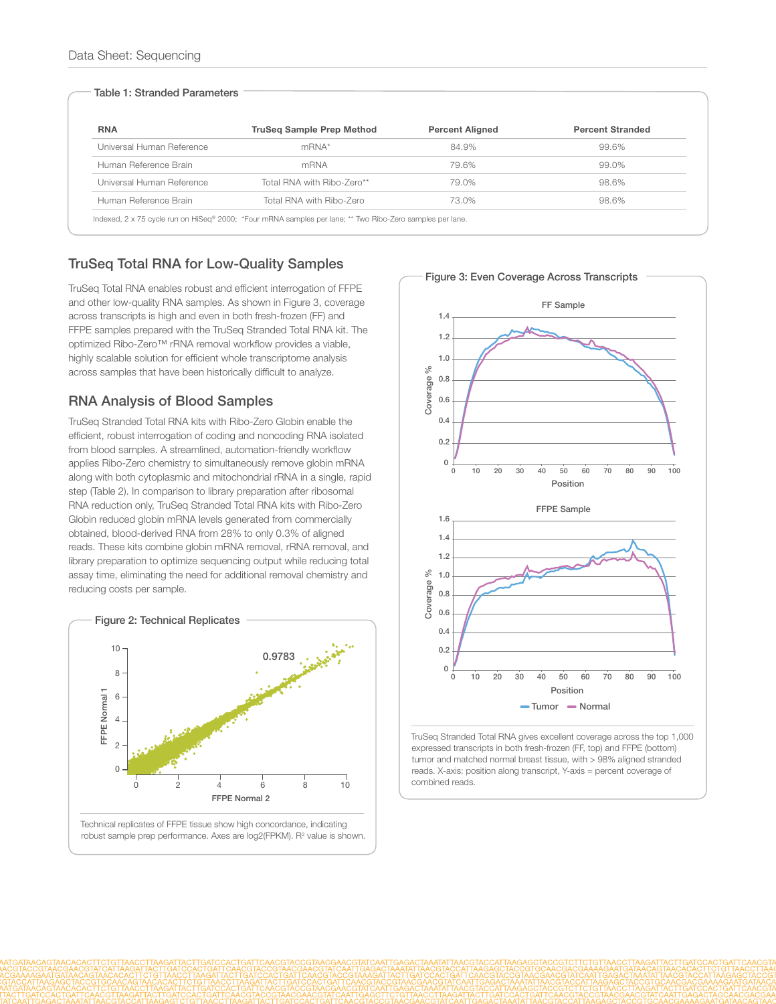### Table 1: Stranded Parameters

| <b>RNA</b>                | <b>TruSeg Sample Prep Method</b> | <b>Percent Aligned</b> | <b>Percent Stranded</b> |
|---------------------------|----------------------------------|------------------------|-------------------------|
| Universal Human Reference | $mRNA*$                          | 84.9%                  | 99.6%                   |
| Human Reference Brain     | mRNA                             | 79.6%                  | 99.0%                   |
| Universal Human Reference | Total RNA with Ribo-Zero**       | 79.0%                  | 98.6%                   |
| Human Reference Brain     | Total RNA with Ribo-Zero         | 73.0%                  | 98.6%                   |

## TruSeq Total RNA for Low-Quality Samples

TruSeq Total RNA enables robust and efficient interrogation of FFPE and other low-quality RNA samples. As shown in Figure 3, coverage across transcripts is high and even in both fresh-frozen (FF) and FFPE samples prepared with the TruSeq Stranded Total RNA kit. The optimized Ribo-Zero™ rRNA removal workflow provides a viable, highly scalable solution for efficient whole transcriptome analysis across samples that have been historically difficult to analyze.

## RNA Analysis of Blood Samples

TruSeq Stranded Total RNA kits with Ribo-Zero Globin enable the efficient, robust interrogation of coding and noncoding RNA isolated from blood samples. A streamlined, automation-friendly workflow applies Ribo-Zero chemistry to simultaneously remove globin mRNA along with both cytoplasmic and mitochondrial rRNA in a single, rapid step (Table 2). In comparison to library preparation after ribosomal RNA reduction only, TruSeq Stranded Total RNA kits with Ribo-Zero Globin reduced globin mRNA levels generated from commercially obtained, blood-derived RNA from 28% to only 0.3% of aligned reads. These kits combine globin mRNA removal, rRNA removal, and library preparation to optimize sequencing output while reducing total assay time, eliminating the need for additional removal chemistry and reducing costs per sample.





TruSeq Stranded Total RNA gives excellent coverage across the top 1,000 expressed transcripts in both fresh-frozen (FF, top) and FFPE (bottom) tumor and matched normal breast tissue, with > 98% aligned stranded reads. X-axis: position along transcript, Y-axis = percent coverage of combined reads.

Figure 3: Even Coverage Across Transcripts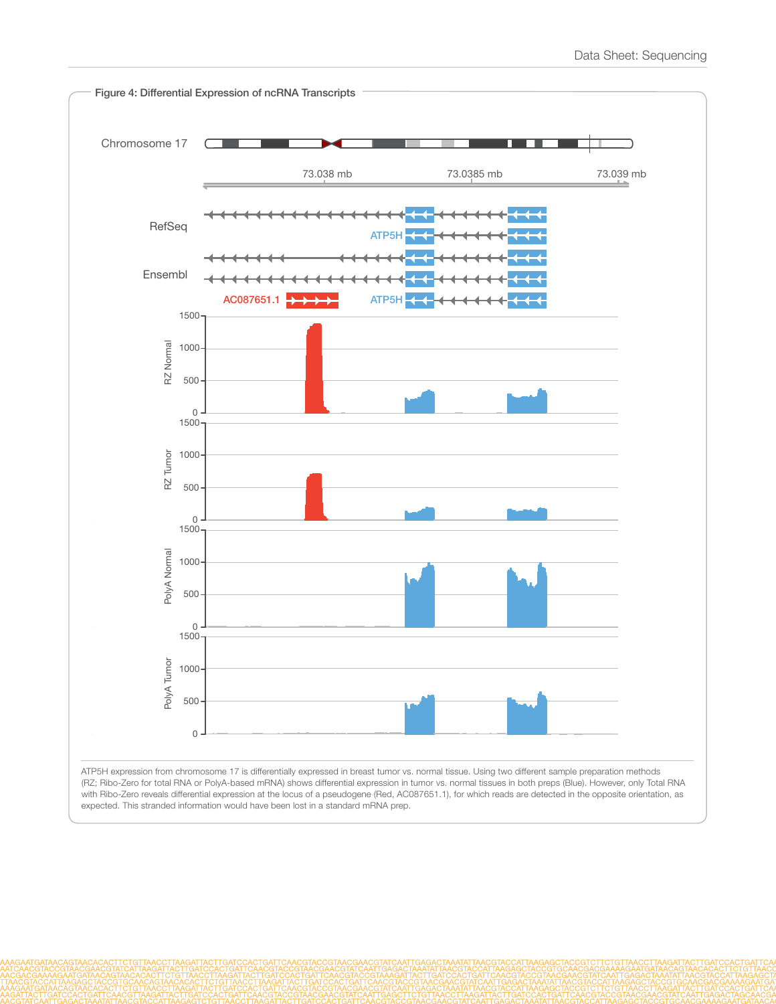

ATP5H expression from chromosome 17 is differentially expressed in breast tumor vs. normal tissue. Using two different sample preparation methods (RZ; Ribo-Zero for total RNA or PolyA-based mRNA) shows differential expression in tumor vs. normal tissues in both preps (Blue). However, only Total RNA with Ribo-Zero reveals differential expression at the locus of a pseudogene (Red, AC087651.1), for which reads are detected in the opposite orientation, as expected. This stranded information would have been lost in a standard mRNA prep.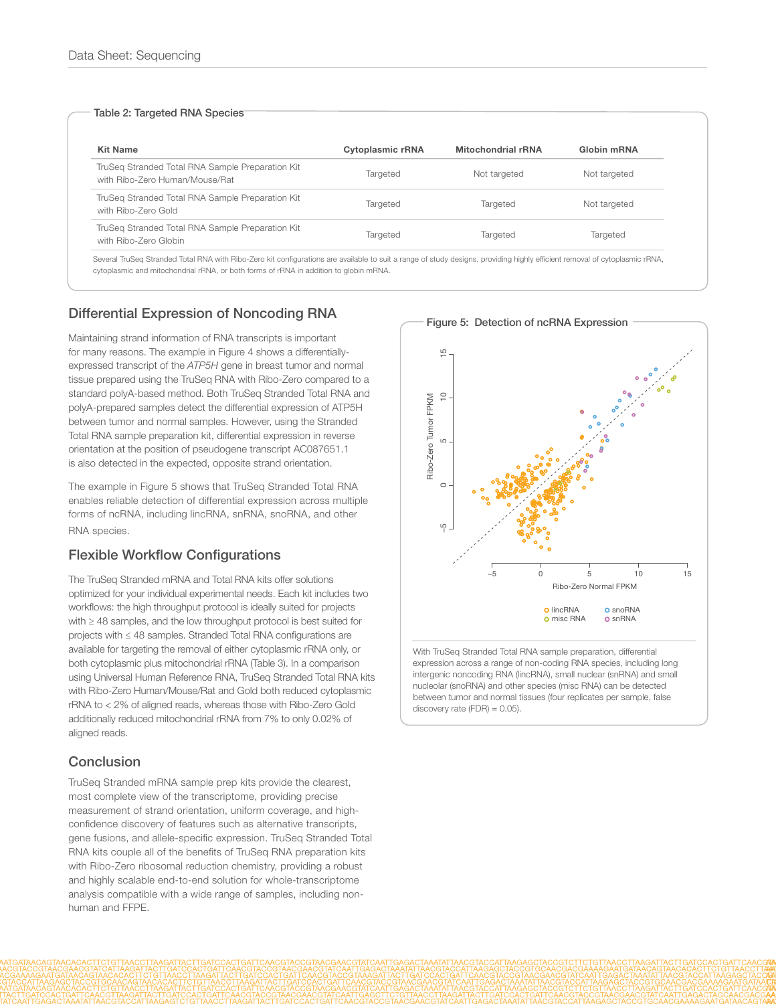#### Table 2: Targeted RNA Species

| <b>Kit Name</b>                                                                    | Cytoplasmic rRNA | Mitochondrial rRNA | Globin mRNA  |
|------------------------------------------------------------------------------------|------------------|--------------------|--------------|
| TruSeg Stranded Total RNA Sample Preparation Kit<br>with Ribo-Zero Human/Mouse/Rat | Targeted         | Not targeted       | Not targeted |
| TruSeg Stranded Total RNA Sample Preparation Kit<br>with Ribo-Zero Gold            | Targeted         | Targeted           | Not targeted |
| TruSeg Stranded Total RNA Sample Preparation Kit<br>with Ribo-Zero Globin          | Targeted         | Targeted           | Targeted     |

 Several TruSeq Stranded Total RNA with Ribo-Zero kit configurations are available to suit a range of study designs, providing highly efficient removal of cytoplasmic rRNA, cytoplasmic and mitochondrial rRNA, or both forms of rRNA in addition to globin mRNA.

## Differential Expression of Noncoding RNA

Maintaining strand information of RNA transcripts is important for many reasons. The example in Figure 4 shows a differentiallyexpressed transcript of the *ATP5H* gene in breast tumor and normal tissue prepared using the TruSeq RNA with Ribo-Zero compared to a standard polyA-based method. Both TruSeq Stranded Total RNA and polyA-prepared samples detect the differential expression of ATP5H between tumor and normal samples. However, using the Stranded Total RNA sample preparation kit, differential expression in reverse orientation at the position of pseudogene transcript AC087651.1 is also detected in the expected, opposite strand orientation.

The example in Figure 5 shows that TruSeq Stranded Total RNA enables reliable detection of differential expression across multiple forms of ncRNA, including lincRNA, snRNA, snoRNA, and other RNA species.

## Flexible Workflow Configurations

The TruSeq Stranded mRNA and Total RNA kits offer solutions optimized for your individual experimental needs. Each kit includes two workflows: the high throughput protocol is ideally suited for projects with ≥ 48 samples, and the low throughput protocol is best suited for projects with ≤ 48 samples. Stranded Total RNA configurations are available for targeting the removal of either cytoplasmic rRNA only, or both cytoplasmic plus mitochondrial rRNA (Table 3). In a comparison using Universal Human Reference RNA, TruSeq Stranded Total RNA kits with Ribo-Zero Human/Mouse/Rat and Gold both reduced cytoplasmic rRNA to < 2% of aligned reads, whereas those with Ribo-Zero Gold additionally reduced mitochondrial rRNA from 7% to only 0.02% of aligned reads.

## **Conclusion**

TruSeq Stranded mRNA sample prep kits provide the clearest, most complete view of the transcriptome, providing precise measurement of strand orientation, uniform coverage, and highconfidence discovery of features such as alternative transcripts, gene fusions, and allele-specific expression. TruSeq Stranded Total RNA kits couple all of the benefits of TruSeq RNA preparation kits with Ribo-Zero ribosomal reduction chemistry, providing a robust and highly scalable end-to-end solution for whole-transcriptome analysis compatible with a wide range of samples, including nonhuman and FFPE.

 $\frac{5}{1}$ −5 0 5 10 15  $\subseteq$ Ribo-Zero Tumor FPKM Ribo-Zero Tumor FPKM Ю  $\circ$ LÇ. −5 0 5 10 15 Ribo-Zero Normal FPKM **O** lincRNA **O** snoRNA o misc RNA **o** snRNA With TruSeq Stranded Total RNA sample preparation, differential

expression across a range of non-coding RNA species, including long intergenic noncoding RNA (lincRNA), small nuclear (snRNA) and small nucleolar (snoRNA) and other species (misc RNA) can be detected between tumor and normal tissues (four replicates per sample, false discovery rate (FDR) = 0.05).

#### Figure 5: Detection of ncRNA Expression